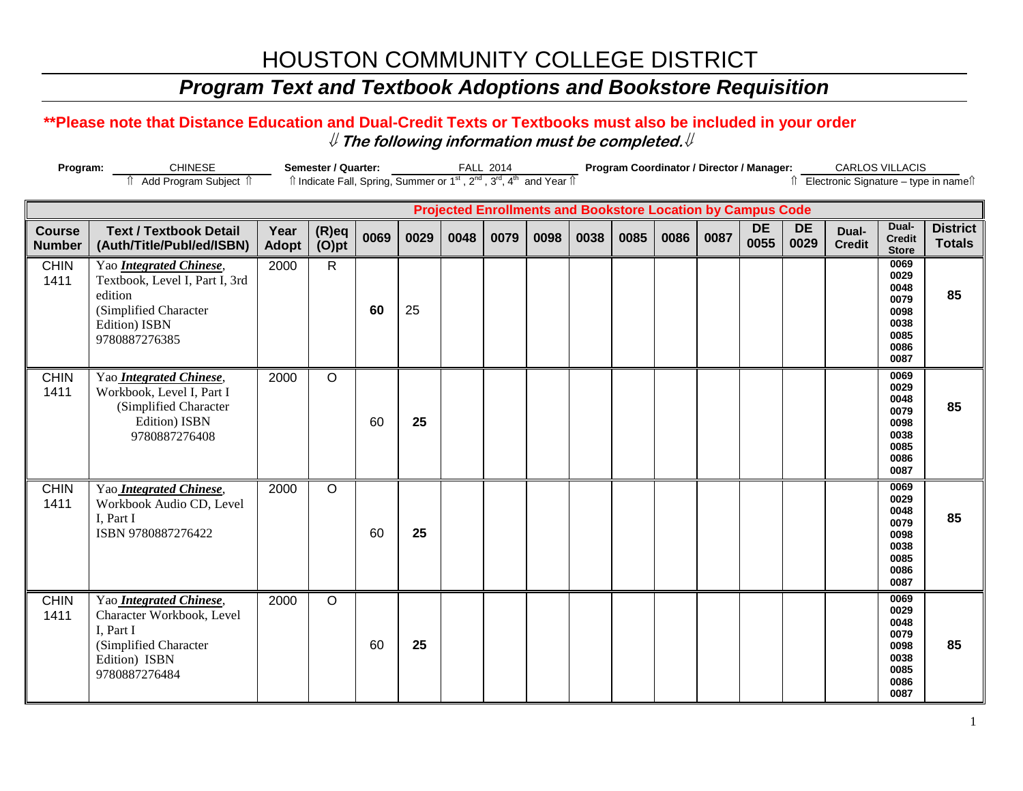# HOUSTON COMMUNITY COLLEGE DISTRICT

## *Program Text and Textbook Adoptions and Bookstore Requisition*

### **\*\*Please note that Distance Education and Dual-Credit Texts or Textbooks must also be included in your order** ⇓ **The following information must be completed.**⇓

| Program:<br><b>CHINESE</b>                                         |                                                                                                                                 | Semester / Quarter:  |                                                                                                                       |      |      | <b>FALL 2014</b> |      |      | Program Coordinator / Director / Manager: |      |      |      |                   |                   | CARLOS VILLACIS        |                                                                      |                                          |
|--------------------------------------------------------------------|---------------------------------------------------------------------------------------------------------------------------------|----------------------|-----------------------------------------------------------------------------------------------------------------------|------|------|------------------|------|------|-------------------------------------------|------|------|------|-------------------|-------------------|------------------------|----------------------------------------------------------------------|------------------------------------------|
|                                                                    | fî Add Program Subject fî                                                                                                       |                      | Îl Indicate Fall, Spring, Summer or 1 <sup>st</sup> , 2 <sup>nd</sup> , 3 <sup>rd</sup> , 4 <sup>th</sup> and Year Îl |      |      |                  |      |      |                                           |      |      |      |                   |                   |                        |                                                                      | îl Electronic Signature - type in nameîl |
| <b>Projected Enrollments and Bookstore Location by Campus Code</b> |                                                                                                                                 |                      |                                                                                                                       |      |      |                  |      |      |                                           |      |      |      |                   |                   |                        |                                                                      |                                          |
| <b>Course</b><br><b>Number</b>                                     | <b>Text / Textbook Detail</b><br>(Auth/Title/Publ/ed/ISBN)                                                                      | Year<br><b>Adopt</b> | $(R)$ eq<br>$(O)$ pt                                                                                                  | 0069 | 0029 | 0048             | 0079 | 0098 | 0038                                      | 0085 | 0086 | 0087 | <b>DE</b><br>0055 | <b>DE</b><br>0029 | Dual-<br><b>Credit</b> | Dual-<br><b>Credit</b><br><b>Store</b>                               | <b>District</b><br><b>Totals</b>         |
| <b>CHIN</b><br>1411                                                | Yao Integrated Chinese,<br>Textbook, Level I, Part I, 3rd<br>edition<br>(Simplified Character<br>Edition) ISBN<br>9780887276385 | 2000                 | $\mathsf{R}$                                                                                                          | 60   | 25   |                  |      |      |                                           |      |      |      |                   |                   |                        | 0069<br>0029<br>0048<br>0079<br>0098<br>0038<br>0085<br>0086<br>0087 | 85                                       |
| <b>CHIN</b><br>1411                                                | Yao Integrated Chinese,<br>Workbook, Level I, Part I<br>(Simplified Character<br>Edition) ISBN<br>9780887276408                 | 2000                 | $\circ$                                                                                                               | 60   | 25   |                  |      |      |                                           |      |      |      |                   |                   |                        | 0069<br>0029<br>0048<br>0079<br>0098<br>0038<br>0085<br>0086<br>0087 | 85                                       |
| <b>CHIN</b><br>1411                                                | Yao Integrated Chinese,<br>Workbook Audio CD, Level<br>I, Part I<br>ISBN 9780887276422                                          | 2000                 | $\circ$                                                                                                               | 60   | 25   |                  |      |      |                                           |      |      |      |                   |                   |                        | 0069<br>0029<br>0048<br>0079<br>0098<br>0038<br>0085<br>0086<br>0087 | 85                                       |
| <b>CHIN</b><br>1411                                                | Yao Integrated Chinese,<br>Character Workbook, Level<br>I, Part I<br>(Simplified Character<br>Edition) ISBN<br>9780887276484    | 2000                 | $\circ$                                                                                                               | 60   | 25   |                  |      |      |                                           |      |      |      |                   |                   |                        | 0069<br>0029<br>0048<br>0079<br>0098<br>0038<br>0085<br>0086<br>0087 | 85                                       |